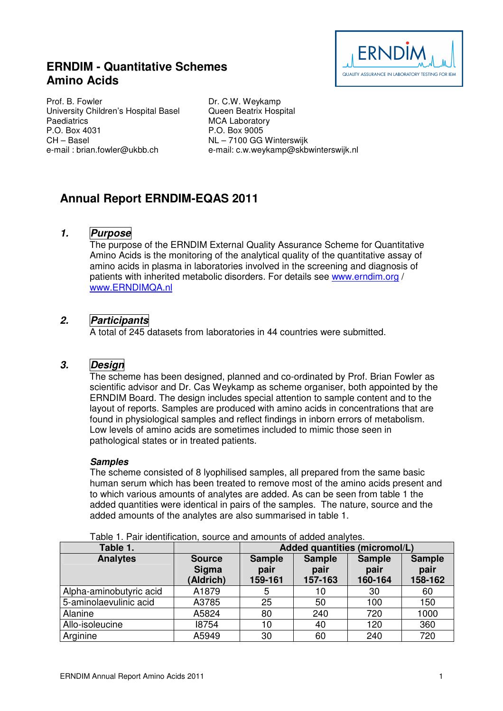# **ERNDIM - Quantitative Schemes Amino Acids**



Prof. B. Fowler University Children's Hospital Basel **Paediatrics** P.O. Box 4031 CH – Basel e-mail : brian.fowler@ukbb.ch

Dr. C.W. Weykamp Queen Beatrix Hospital MCA Laboratory P.O. Box 9005 NL – 7100 GG Winterswijk e-mail: c.w.weykamp@skbwinterswijk.nl

# **Annual Report ERNDIM-EQAS 2011**

### **1. Purpose**

The purpose of the ERNDIM External Quality Assurance Scheme for Quantitative Amino Acids is the monitoring of the analytical quality of the quantitative assay of amino acids in plasma in laboratories involved in the screening and diagnosis of patients with inherited metabolic disorders. For details see www.erndim.org / www.ERNDIMQA.nl

## **2. Participants**

A total of 245 datasets from laboratories in 44 countries were submitted.

## **3. Design**

The scheme has been designed, planned and co-ordinated by Prof. Brian Fowler as scientific advisor and Dr. Cas Weykamp as scheme organiser, both appointed by the ERNDIM Board. The design includes special attention to sample content and to the layout of reports. Samples are produced with amino acids in concentrations that are found in physiological samples and reflect findings in inborn errors of metabolism. Low levels of amino acids are sometimes included to mimic those seen in pathological states or in treated patients.

#### **Samples**

The scheme consisted of 8 lyophilised samples, all prepared from the same basic human serum which has been treated to remove most of the amino acids present and to which various amounts of analytes are added. As can be seen from table 1 the added quantities were identical in pairs of the samples. The nature, source and the added amounts of the analytes are also summarised in table 1.

| Table 1.                |                                     | Added quantities (micromol/L)    |                                  |                                  |                                  |
|-------------------------|-------------------------------------|----------------------------------|----------------------------------|----------------------------------|----------------------------------|
| <b>Analytes</b>         | <b>Source</b><br>Sigma<br>(Aldrich) | <b>Sample</b><br>pair<br>159-161 | <b>Sample</b><br>pair<br>157-163 | <b>Sample</b><br>pair<br>160-164 | <b>Sample</b><br>pair<br>158-162 |
| Alpha-aminobutyric acid | A1879                               |                                  | 10                               | 30                               | 60                               |
| 5-aminolaevulinic acid  | A3785                               | 25                               | 50                               | 100                              | 150                              |
| Alanine                 | A5824                               | 80                               | 240                              | 720                              | 1000                             |
| Allo-isoleucine         | 18754                               | 10                               | 40                               | 120                              | 360                              |
| Arginine                | A5949                               | 30                               | 60                               | 240                              | 720                              |

Table 1. Pair identification, source and amounts of added analytes.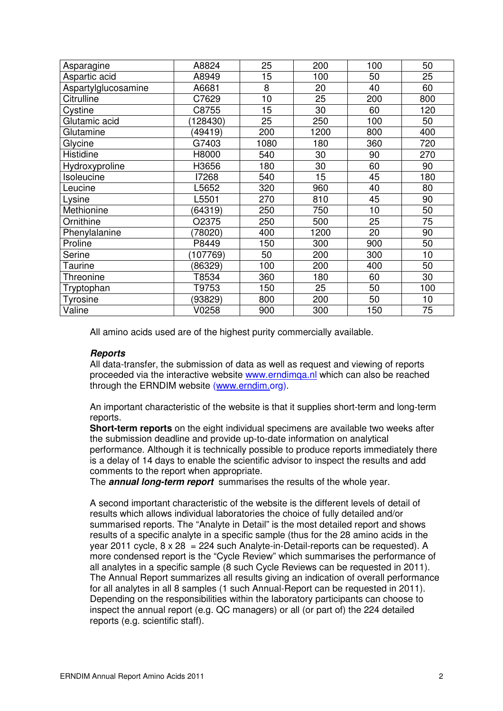| Asparagine          | A8824    | 25   | 200  | 100 | 50  |
|---------------------|----------|------|------|-----|-----|
| Aspartic acid       | A8949    | 15   | 100  | 50  | 25  |
| Aspartylglucosamine | A6681    | 8    | 20   | 40  | 60  |
| Citrulline          | C7629    | 10   | 25   | 200 | 800 |
| Cystine             | C8755    | 15   | 30   | 60  | 120 |
| Glutamic acid       | 128430)  | 25   | 250  | 100 | 50  |
| Glutamine           | (49419)  | 200  | 1200 | 800 | 400 |
| Glycine             | G7403    | 1080 | 180  | 360 | 720 |
| Histidine           | H8000    | 540  | 30   | 90  | 270 |
| Hydroxyproline      | H3656    | 180  | 30   | 60  | 90  |
| Isoleucine          | 17268    | 540  | 15   | 45  | 180 |
| Leucine             | L5652    | 320  | 960  | 40  | 80  |
| Lysine              | L5501    | 270  | 810  | 45  | 90  |
| Methionine          | (64319)  | 250  | 750  | 10  | 50  |
| Ornithine           | O2375    | 250  | 500  | 25  | 75  |
| Phenylalanine       | 78020)   | 400  | 1200 | 20  | 90  |
| Proline             | P8449    | 150  | 300  | 900 | 50  |
| Serine              | (107769) | 50   | 200  | 300 | 10  |
| Taurine             | 86329)   | 100  | 200  | 400 | 50  |
| Threonine           | T8534    | 360  | 180  | 60  | 30  |
| Tryptophan          | T9753    | 150  | 25   | 50  | 100 |
| Tyrosine            | (93829)  | 800  | 200  | 50  | 10  |
| Valine              | V0258    | 900  | 300  | 150 | 75  |

All amino acids used are of the highest purity commercially available.

#### **Reports**

All data-transfer, the submission of data as well as request and viewing of reports proceeded via the interactive website www.erndimqa.nl which can also be reached through the ERNDIM website (www.erndim.org).

An important characteristic of the website is that it supplies short-term and long-term reports.

**Short-term reports** on the eight individual specimens are available two weeks after the submission deadline and provide up-to-date information on analytical performance. Although it is technically possible to produce reports immediately there is a delay of 14 days to enable the scientific advisor to inspect the results and add comments to the report when appropriate.

The **annual long-term report** summarises the results of the whole year.

A second important characteristic of the website is the different levels of detail of results which allows individual laboratories the choice of fully detailed and/or summarised reports. The "Analyte in Detail" is the most detailed report and shows results of a specific analyte in a specific sample (thus for the 28 amino acids in the year 2011 cycle,  $8 \times 28 = 224$  such Analyte-in-Detail-reports can be requested). A more condensed report is the "Cycle Review" which summarises the performance of all analytes in a specific sample (8 such Cycle Reviews can be requested in 2011). The Annual Report summarizes all results giving an indication of overall performance for all analytes in all 8 samples (1 such Annual-Report can be requested in 2011). Depending on the responsibilities within the laboratory participants can choose to inspect the annual report (e.g. QC managers) or all (or part of) the 224 detailed reports (e.g. scientific staff).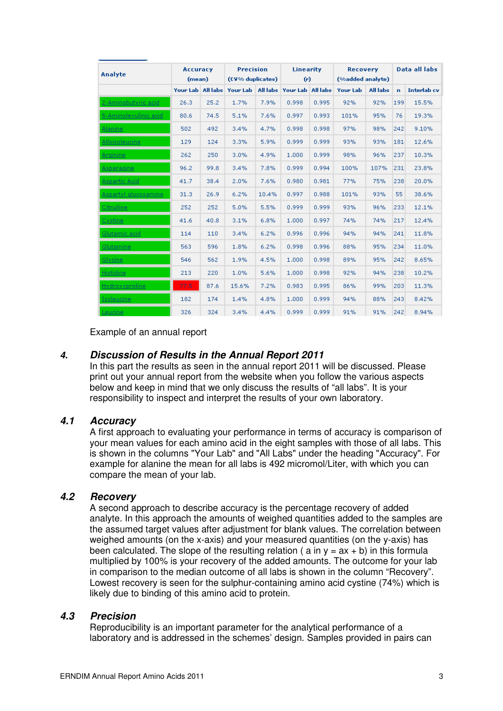| Analyte               | <b>Accuracy</b><br>(mean) |      | <b>Precision</b><br>(CV% duplicates) |       | <b>Linearity</b><br>(r)             |       | <b>Recovery</b><br>(%added analyte) |                 |              | Data all labs      |
|-----------------------|---------------------------|------|--------------------------------------|-------|-------------------------------------|-------|-------------------------------------|-----------------|--------------|--------------------|
|                       | Your Lab All labs         |      |                                      |       | Your Lab All labs Your Lab All labs |       | <b>Your Lab</b>                     | <b>All labs</b> | $\mathbf{a}$ | <b>Interlab</b> cv |
| 2-Aminobutyric acid   | 26.3                      | 25.2 | 1.7%                                 | 7.9%  | 0.998                               | 0.995 | 92%                                 | 92%             | 199          | 15.5%              |
| 5-Aminolevulinic acid | 80.6                      | 74.5 | 5.1%                                 | 7.6%  | 0.997                               | 0.993 | 101%                                | 95%             | 76           | 19.3%              |
| <b>Alanine</b>        | 502                       | 492  | 3.4%                                 | 4.7%  | 0.998                               | 0.998 | 97%                                 | 98%             | 242          | 9.10%              |
| Alloisoleucine        | 129                       | 124  | 3.3%                                 | 5.9%  | 0.999                               | 0.999 | 93%                                 | 93%             | 181          | 12.6%              |
| Arginine              | 262                       | 250  | 3.0%                                 | 4.9%  | 1,000                               | 0.999 | 98%                                 | 96%             | 237          | 10.3%              |
| Asparagine            | 96.2                      | 99.8 | 3.4%                                 | 7.8%  | 0.999                               | 0.994 | 100%                                | 107%            | 231          | 23.8%              |
| <b>Aspartic Acid</b>  | 41.7                      | 38.4 | 2.0%                                 | 7.6%  | 0.980                               | 0.981 | 77%                                 | 75%             | 238          | 20.0%              |
| Aspartyl glucosamine  | 31.3                      | 26.9 | 6.2%                                 | 10.4% | 0.997                               | 0.988 | 101%                                | 93%             | 55           | 38.6%              |
| Citrulline            | 252                       | 252  | 5.0%                                 | 5.5%  | 0.999                               | 0.999 | 93%                                 | 96%             | 233          | 12.1%              |
| Cystine:              | 41.6                      | 40.8 | 3.1%                                 | 6.8%  | 1,000                               | 0.997 | 74%                                 | 74%             | 217          | 12.4%              |
| <u>Glutamic acid</u>  | 114                       | 110  | 3.4%                                 | 6.2%  | 0.996                               | 0.996 | 94%                                 | 94%             | 241          | 11.8%              |
| Glutamine             | 563                       | 596  | 1.8%                                 | 6.2%  | 0.998                               | 0.996 | 88%                                 | 95%             | 234          | 11.0%              |
| Glycine               | 546                       | 562  | 1.9%                                 | 4.5%  | 1,000                               | 0.998 | 89%                                 | 95%             | 242          | 8.65%              |
| <b>Histidine</b>      | 213                       | 220  | 1.0%                                 | 5.6%  | 1,000                               | 0.998 | 92%                                 | 94%             | 238          | 10.2%              |
| Hydroxyproline        | 77.5                      | 87.6 | 15.6%                                | 7.2%  | 0.983                               | 0.995 | 86%                                 | 99%             | 203          | 11.3%              |
| Isoleucine            | 182                       | 174  | 1.4%                                 | 4.8%  | 1,000                               | 0.999 | 94%                                 | 88%             | 243          | 8.42%              |
| Leucine               | 326                       | 324  | 3.4%                                 | 4.4%  | 0.999                               | 0.999 | 91%                                 | 91%             | 242          | 8.94%              |

Example of an annual report

### **4. Discussion of Results in the Annual Report 2011**

In this part the results as seen in the annual report 2011 will be discussed. Please print out your annual report from the website when you follow the various aspects below and keep in mind that we only discuss the results of "all labs". It is your responsibility to inspect and interpret the results of your own laboratory.

### **4.1 Accuracy**

A first approach to evaluating your performance in terms of accuracy is comparison of your mean values for each amino acid in the eight samples with those of all labs. This is shown in the columns "Your Lab" and "All Labs" under the heading "Accuracy". For example for alanine the mean for all labs is 492 micromol/Liter, with which you can compare the mean of your lab.

#### **4.2 Recovery**

A second approach to describe accuracy is the percentage recovery of added analyte. In this approach the amounts of weighed quantities added to the samples are the assumed target values after adjustment for blank values. The correlation between weighed amounts (on the x-axis) and your measured quantities (on the y-axis) has been calculated. The slope of the resulting relation ( a in  $y = ax + b$ ) in this formula multiplied by 100% is your recovery of the added amounts. The outcome for your lab in comparison to the median outcome of all labs is shown in the column "Recovery". Lowest recovery is seen for the sulphur-containing amino acid cystine (74%) which is likely due to binding of this amino acid to protein.

#### **4.3 Precision**

Reproducibility is an important parameter for the analytical performance of a laboratory and is addressed in the schemes' design. Samples provided in pairs can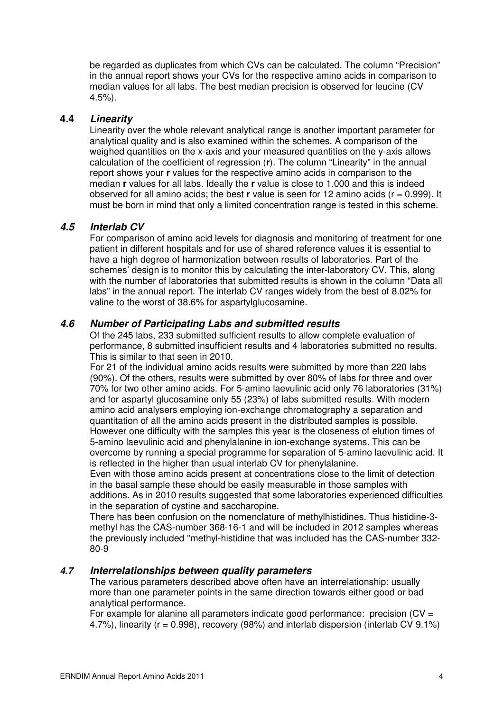be regarded as duplicates from which CVs can be calculated. The column "Precision" in the annual report shows your CVs for the respective amino acids in comparison to median values for all labs. The best median precision is observed for leucine (CV 4.5%).

#### **4.4 Linearity**

Linearity over the whole relevant analytical range is another important parameter for analytical quality and is also examined within the schemes. A comparison of the weighed quantities on the x-axis and your measured quantities on the y-axis allows calculation of the coefficient of regression (**r**). The column "Linearity" in the annual report shows your **r** values for the respective amino acids in comparison to the median **r** values for all labs. Ideally the **r** value is close to 1.000 and this is indeed observed for all amino acids; the best **r** value is seen for 12 amino acids (r = 0.999). It must be born in mind that only a limited concentration range is tested in this scheme.

#### **4.5 Interlab CV**

For comparison of amino acid levels for diagnosis and monitoring of treatment for one patient in different hospitals and for use of shared reference values it is essential to have a high degree of harmonization between results of laboratories. Part of the schemes' design is to monitor this by calculating the inter-laboratory CV. This, along with the number of laboratories that submitted results is shown in the column "Data all labs" in the annual report. The interlab CV ranges widely from the best of 8.02% for valine to the worst of 38.6% for aspartylglucosamine.

#### **4.6 Number of Participating Labs and submitted results**

Of the 245 labs, 233 submitted sufficient results to allow complete evaluation of performance, 8 submitted insufficient results and 4 laboratories submitted no results. This is similar to that seen in 2010.

For 21 of the individual amino acids results were submitted by more than 220 labs (90%). Of the others, results were submitted by over 80% of labs for three and over 70% for two other amino acids. For 5-amino laevulinic acid only 76 laboratories (31%) and for aspartyl glucosamine only 55 (23%) of labs submitted results. With modern amino acid analysers employing ion-exchange chromatography a separation and quantitation of all the amino acids present in the distributed samples is possible. However one difficulty with the samples this year is the closeness of elution times of 5-amino laevulinic acid and phenylalanine in ion-exchange systems. This can be overcome by running a special programme for separation of 5-amino laevulinic acid. It is reflected in the higher than usual interlab CV for phenylalanine.

Even with those amino acids present at concentrations close to the limit of detection in the basal sample these should be easily measurable in those samples with additions. As in 2010 results suggested that some laboratories experienced difficulties in the separation of cystine and saccharopine.

There has been confusion on the nomenclature of methylhistidines. Thus histidine-3 methyl has the CAS-number 368-16-1 and will be included in 2012 samples whereas the previously included "methyl-histidine that was included has the CAS-number 332- 80-9

#### **4.7 Interrelationships between quality parameters**

The various parameters described above often have an interrelationship: usually more than one parameter points in the same direction towards either good or bad analytical performance.

For example for alanine all parameters indicate good performance: precision  $(CV =$ 4.7%), linearity ( $r = 0.998$ ), recovery (98%) and interlab dispersion (interlab CV 9.1%)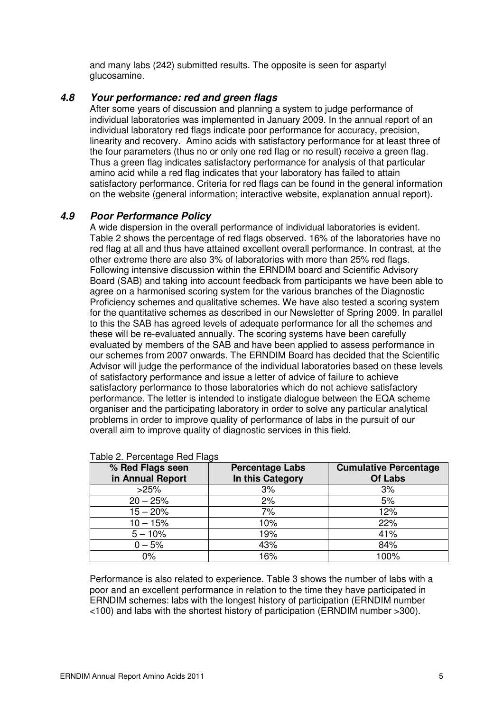and many labs (242) submitted results. The opposite is seen for aspartyl glucosamine.

#### **4.8 Your performance: red and green flags**

After some years of discussion and planning a system to judge performance of individual laboratories was implemented in January 2009. In the annual report of an individual laboratory red flags indicate poor performance for accuracy, precision, linearity and recovery. Amino acids with satisfactory performance for at least three of the four parameters (thus no or only one red flag or no result) receive a green flag. Thus a green flag indicates satisfactory performance for analysis of that particular amino acid while a red flag indicates that your laboratory has failed to attain satisfactory performance. Criteria for red flags can be found in the general information on the website (general information; interactive website, explanation annual report).

### **4.9 Poor Performance Policy**

A wide dispersion in the overall performance of individual laboratories is evident. Table 2 shows the percentage of red flags observed. 16% of the laboratories have no red flag at all and thus have attained excellent overall performance. In contrast, at the other extreme there are also 3% of laboratories with more than 25% red flags. Following intensive discussion within the ERNDIM board and Scientific Advisory Board (SAB) and taking into account feedback from participants we have been able to agree on a harmonised scoring system for the various branches of the Diagnostic Proficiency schemes and qualitative schemes. We have also tested a scoring system for the quantitative schemes as described in our Newsletter of Spring 2009. In parallel to this the SAB has agreed levels of adequate performance for all the schemes and these will be re-evaluated annually. The scoring systems have been carefully evaluated by members of the SAB and have been applied to assess performance in our schemes from 2007 onwards. The ERNDIM Board has decided that the Scientific Advisor will judge the performance of the individual laboratories based on these levels of satisfactory performance and issue a letter of advice of failure to achieve satisfactory performance to those laboratories which do not achieve satisfactory performance. The letter is intended to instigate dialogue between the EQA scheme organiser and the participating laboratory in order to solve any particular analytical problems in order to improve quality of performance of labs in the pursuit of our overall aim to improve quality of diagnostic services in this field.

| % Red Flags seen<br>in Annual Report | <b>Percentage Labs</b><br>In this Category | <b>Cumulative Percentage</b><br><b>Of Labs</b> |
|--------------------------------------|--------------------------------------------|------------------------------------------------|
| >25%                                 | 3%                                         | 3%                                             |
| $20 - 25%$                           | 2%                                         | 5%                                             |
| $15 - 20%$                           | 7%                                         | 12%                                            |
| $10 - 15%$                           | 10%                                        | 22%                                            |
| $5 - 10%$                            | 19%                                        | 41%                                            |
| $0 - 5%$                             | 43%                                        | 84%                                            |
| $0\%$                                | 16%                                        | 100%                                           |

#### Table 2. Percentage Red Flags

Performance is also related to experience. Table 3 shows the number of labs with a poor and an excellent performance in relation to the time they have participated in ERNDIM schemes: labs with the longest history of participation (ERNDIM number <100) and labs with the shortest history of participation (ERNDIM number >300).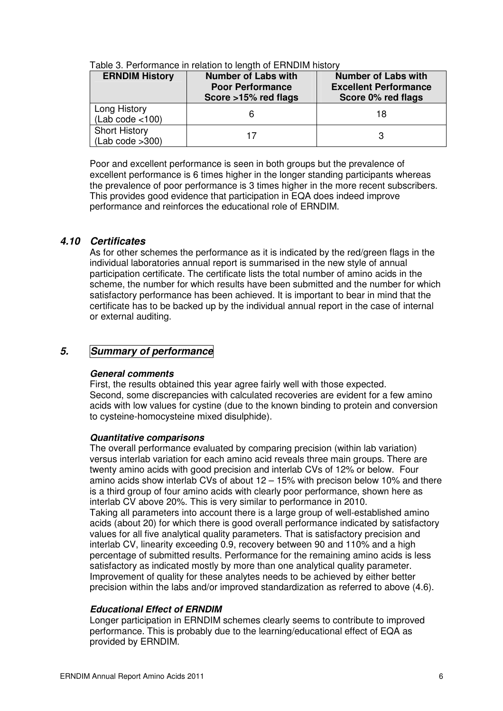| <b>ERNDIM History</b>             | <b>Number of Labs with</b><br><b>Poor Performance</b><br>Score >15% red flags | <b>Number of Labs with</b><br><b>Excellent Performance</b><br>Score 0% red flags |
|-----------------------------------|-------------------------------------------------------------------------------|----------------------------------------------------------------------------------|
| Long History<br>(Lab code < 100)  |                                                                               | 18                                                                               |
| Short History<br>(Lab code > 300) |                                                                               |                                                                                  |

Table 3. Performance in relation to length of ERNDIM history

Poor and excellent performance is seen in both groups but the prevalence of excellent performance is 6 times higher in the longer standing participants whereas the prevalence of poor performance is 3 times higher in the more recent subscribers. This provides good evidence that participation in EQA does indeed improve performance and reinforces the educational role of ERNDIM.

#### **4.10 Certificates**

As for other schemes the performance as it is indicated by the red/green flags in the individual laboratories annual report is summarised in the new style of annual participation certificate. The certificate lists the total number of amino acids in the scheme, the number for which results have been submitted and the number for which satisfactory performance has been achieved. It is important to bear in mind that the certificate has to be backed up by the individual annual report in the case of internal or external auditing.

# **5. Summary of performance**

#### **General comments**

First, the results obtained this year agree fairly well with those expected. Second, some discrepancies with calculated recoveries are evident for a few amino acids with low values for cystine (due to the known binding to protein and conversion to cysteine-homocysteine mixed disulphide).

#### **Quantitative comparisons**

The overall performance evaluated by comparing precision (within lab variation) versus interlab variation for each amino acid reveals three main groups. There are twenty amino acids with good precision and interlab CVs of 12% or below. Four amino acids show interlab CVs of about 12 – 15% with precison below 10% and there is a third group of four amino acids with clearly poor performance, shown here as interlab CV above 20%. This is very similar to performance in 2010. Taking all parameters into account there is a large group of well-established amino acids (about 20) for which there is good overall performance indicated by satisfactory values for all five analytical quality parameters. That is satisfactory precision and interlab CV, linearity exceeding 0.9, recovery between 90 and 110% and a high percentage of submitted results. Performance for the remaining amino acids is less satisfactory as indicated mostly by more than one analytical quality parameter. Improvement of quality for these analytes needs to be achieved by either better precision within the labs and/or improved standardization as referred to above (4.6).

#### **Educational Effect of ERNDIM**

Longer participation in ERNDIM schemes clearly seems to contribute to improved performance. This is probably due to the learning/educational effect of EQA as provided by ERNDIM.